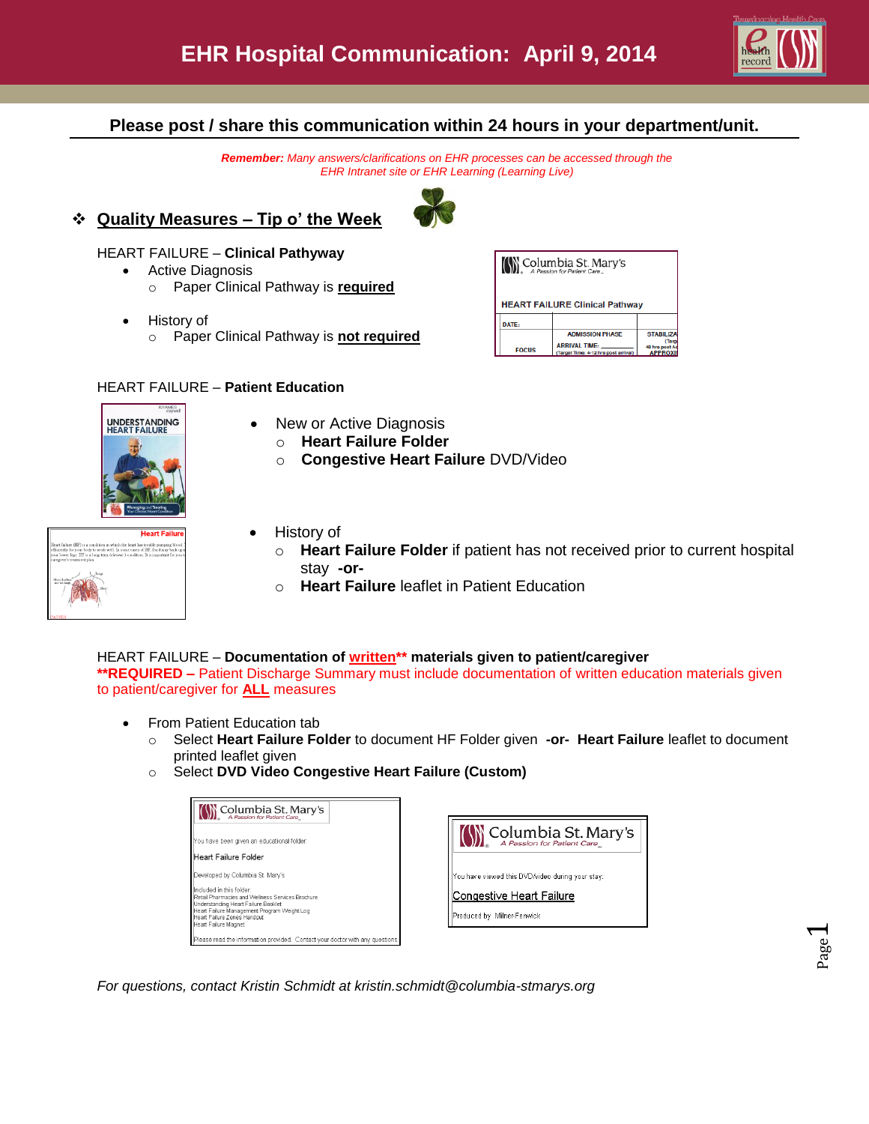

# **Please post / share this communication within 24 hours in your department/unit.**

*Remember: Many answers/clarifications on EHR processes can be accessed through the EHR Intranet site or EHR Learning (Learning Live)*





- Active Diagnosis
	- o Paper Clinical Pathway is **required**
- History of
	- o Paper Clinical Pathway is **not required**

#### HEART FAILURE – **Patient Education**

| Columbia St. Mary's<br>A Passion for Patient Care |                                                              |                                          |  |  |  |  |
|---------------------------------------------------|--------------------------------------------------------------|------------------------------------------|--|--|--|--|
| <b>HEART FAILURE Clinical Pathway</b>             |                                                              |                                          |  |  |  |  |
| DATE:                                             |                                                              |                                          |  |  |  |  |
|                                                   | <b>ADMISSION PHASE</b>                                       | <b>STABILIZA</b>                         |  |  |  |  |
| <b>FOCUS</b>                                      | <b>ARRIVAL TIME:</b><br>(Target Time: 4-12 hrs post arrival) | Taro<br>48 hrs post Ac<br><b>APPROXI</b> |  |  |  |  |



History of

 New or Active Diagnosis o **Heart Failure Folder**

- o **Heart Failure Folder** if patient has not received prior to current hospital stay **-or-**
- o **Heart Failure** leaflet in Patient Education

o **Congestive Heart Failure** DVD/Video

#### HEART FAILURE – **Documentation of written\*\* materials given to patient/caregiver \*\*REQUIRED –** Patient Discharge Summary must include documentation of written education materials given to patient/caregiver for **ALL** measures

- From Patient Education tab
	- o Select **Heart Failure Folder** to document HF Folder given **-or- Heart Failure** leaflet to document printed leaflet given
	- o Select **DVD Video Congestive Heart Failure (Custom)**

| Columbia St. Mary's                                                                                                                                                                                                      |                                                        |
|--------------------------------------------------------------------------------------------------------------------------------------------------------------------------------------------------------------------------|--------------------------------------------------------|
| You have been given an educational folder:                                                                                                                                                                               | (\) Columbia St. Mary's<br>A Passion for Patient Care  |
| <b>I</b> Heart Failure Folder                                                                                                                                                                                            |                                                        |
| Developed by Columbia St. Mary's                                                                                                                                                                                         | You have viewed this DVD/video during your stay:       |
| Included in this folder<br>Retail Pharmacies and Wellness Services Brochure<br>Understanding Heart Failure Booklet<br>Heart Failure Management Program Weight Log<br>Heart Failure Zones Handout<br>Heart Failure Magnet | Congestive Heart Failure<br>Produced by Milner-Fenwick |
| Please read the information provided. Contact your doctor with any questions.                                                                                                                                            |                                                        |

*For questions, contact Kristin Schmidt at kristin.schmidt@columbia-stmarys.org*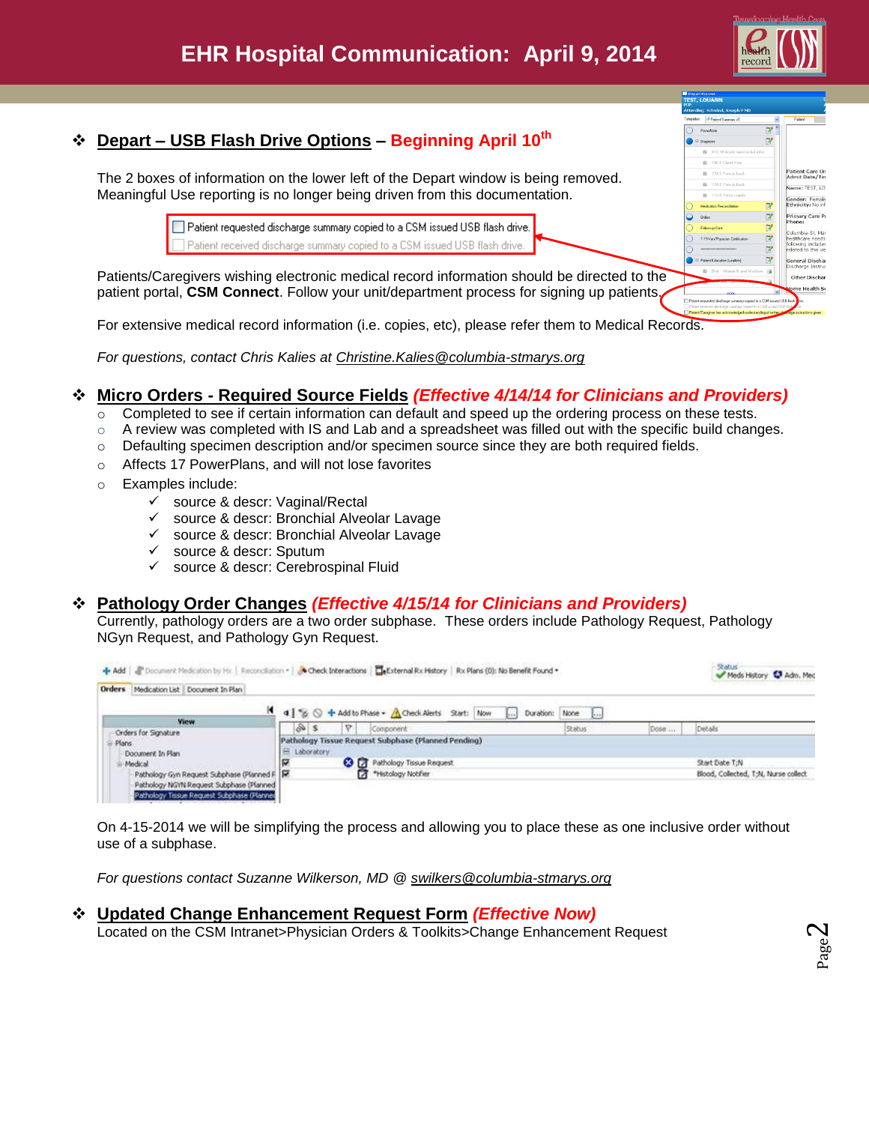

Patient Care Un<br>Admit Date/Tin ame: TEST, LC .<br><mark>Gender:</mark> Femak<br>Ethnicity: No inf rimary Care Pr

> neral Discha Other Disch

# **Depart – USB Flash Drive Options – Beginning April 10th**

The 2 boxes of information on the lower left of the Depart window is being removed. Meaningful Use reporting is no longer being driven from this documentation.

> □ Patient requested discharge summary copied to a CSM issued USB flash drive. Patient received discharge summary copied to a CSM issued USB flash drive.

Patients/Caregivers wishing electronic medical record information should be directed to the patient portal, **CSM Connect**. Follow your unit/department process for signing up patients.

For extensive medical record information (i.e. copies, etc), please refer them to Medical Records.

*For questions, contact Chris Kalies at Christine.Kalies@columbia-stmarys.org*

# **Micro Orders - Required Source Fields** *(Effective 4/14/14 for Clinicians and Providers)*

- $\overline{\circ}$  Completed to see if certain information can default and speed up the ordering process on these tests.
- $\circ$  A review was completed with IS and Lab and a spreadsheet was filled out with the specific build changes.
- o Defaulting specimen description and/or specimen source since they are both required fields.
- o Affects 17 PowerPlans, and will not lose favorites
- o Examples include:
	- source & descr: Vaginal/Rectal
	- $\checkmark$  source & descr: Bronchial Alveolar Lavage
	- $\checkmark$  source & descr: Bronchial Alveolar Lavage
	- $\checkmark$  source & descr: Sputum
	- $\checkmark$  source & descr: Cerebrospinal Fluid

# **Pathology Order Changes** *(Effective 4/15/14 for Clinicians and Providers)*

Currently, pathology orders are a two order subphase. These orders include Pathology Request, Pathology NGyn Request, and Pathology Gyn Request.

|                                               | + Add   Tocument Medication by Hx.   Reconcilation =   & Check Interactions   External Rx History   Rx Plans (0): No Benefit Found + |                               |      | <b>Status</b><br>Meds History & Adm. Med |
|-----------------------------------------------|--------------------------------------------------------------------------------------------------------------------------------------|-------------------------------|------|------------------------------------------|
| Orders Medication List   Document In Plan     |                                                                                                                                      |                               |      |                                          |
|                                               | 4 % O + Add to Phase + A Check Alerts Start: Now                                                                                     | Duration: None<br><b>Cold</b> |      |                                          |
| View<br>Orders for Signature                  | 85<br>Ÿ.<br>Component:                                                                                                               | Status                        | Dose | Details                                  |
| E Plans                                       | Pathology Tissue Request Subphase (Planned Pending)                                                                                  |                               |      |                                          |
| Document In Plan                              | El Laboratory                                                                                                                        |                               |      |                                          |
| Medical                                       | <b>C3</b> [7] Pathology Tissue Request                                                                                               |                               |      | Start Date T;N                           |
| Pathology Gyn Request Subphase (Planned F   R | <sup>+</sup> Histology Notifier                                                                                                      |                               |      | Blood, Collected, T:N, Nurse collect     |
| Pathology NGYN Request Subphase (Planned      |                                                                                                                                      |                               |      |                                          |
| Pathology Tissue Request Subphase (Planned    |                                                                                                                                      |                               |      |                                          |

On 4-15-2014 we will be simplifying the process and allowing you to place these as one inclusive order without use of a subphase.

*For questions contact Suzanne Wilkerson, MD @ [swilkers@columbia-stmarys.org](mailto:swilkers@columbia-stmarys.org)*

### **Updated Change Enhancement Request Form** *(Effective Now)*

Located on the CSM Intranet>Physician Orders & Toolkits>Change Enhancement Request